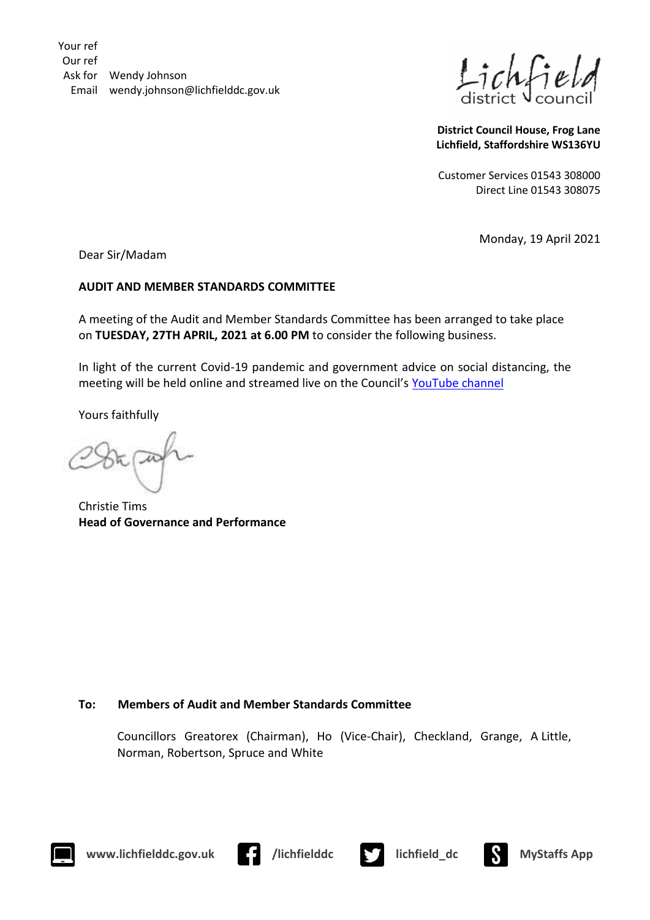Your ref Our ref Ask for Wendy Johnson Email wendy.johnson@lichfielddc.gov.uk

**District Council House, Frog Lane Lichfield, Staffordshire WS136YU**

Customer Services 01543 308000 Direct Line 01543 308075

Monday, 19 April 2021

Dear Sir/Madam

## **AUDIT AND MEMBER STANDARDS COMMITTEE**

A meeting of the Audit and Member Standards Committee has been arranged to take place on **TUESDAY, 27TH APRIL, 2021 at 6.00 PM** to consider the following business.

In light of the current Covid-19 pandemic and government advice on social distancing, the meeting will be held online and streamed live on the Council's [YouTube channel](https://www.youtube.com/channel/UCBh2VMMDxc6Phk2zRaoYD6A)

Yours faithfully

Christie Tims **Head of Governance and Performance**

## **To: Members of Audit and Member Standards Committee**

Councillors Greatorex (Chairman), Ho (Vice-Chair), Checkland, Grange, A Little, Norman, Robertson, Spruce and White